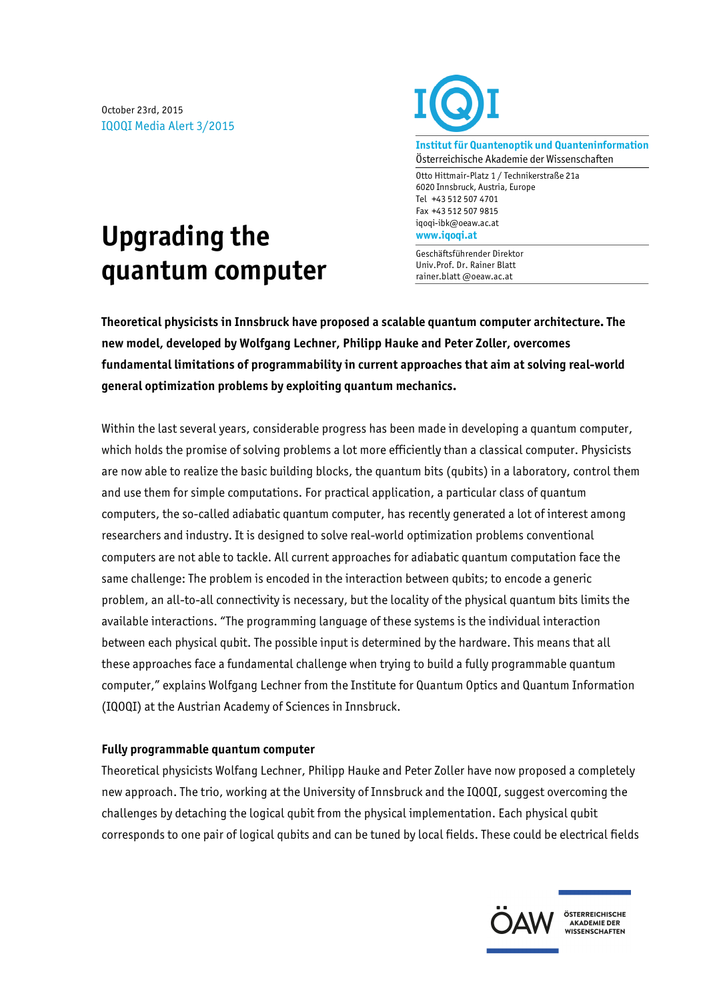October 23rd, 2015 IQOQI Media Alert 3/2015



**Institut für Quantenoptik und Quanteninformation** Österreichische Akademie der Wissenschaften

Otto Hittmair-Platz 1 / Technikerstraße 21a 6020 Innsbruck, Austria, Europe Tel +43 512 507 4701 Fax +43 512 507 9815 iqoqi-ibk@oeaw.ac.at **www.iqoqi.at**

Geschäftsführender Direktor Univ.Prof. Dr. Rainer Blatt rainer.blatt @oeaw.ac.at

## **Upgrading the quantum computer**

**Theoretical physicists in Innsbruck have proposed a scalable quantum computer architecture. The new model, developed by Wolfgang Lechner, Philipp Hauke and Peter Zoller, overcomes fundamental limitations of programmability in current approaches that aim at solving real-world general optimization problems by exploiting quantum mechanics.**

Within the last several years, considerable progress has been made in developing a quantum computer, which holds the promise of solving problems a lot more efficiently than a classical computer. Physicists are now able to realize the basic building blocks, the quantum bits (qubits) in a laboratory, control them and use them for simple computations. For practical application, a particular class of quantum computers, the so-called adiabatic quantum computer, has recently generated a lot of interest among researchers and industry. It is designed to solve real-world optimization problems conventional computers are not able to tackle. All current approaches for adiabatic quantum computation face the same challenge: The problem is encoded in the interaction between qubits; to encode a generic problem, an all-to-all connectivity is necessary, but the locality of the physical quantum bits limits the available interactions. "The programming language of these systems is the individual interaction between each physical qubit. The possible input is determined by the hardware. This means that all these approaches face a fundamental challenge when trying to build a fully programmable quantum computer," explains Wolfgang Lechner from the Institute for Quantum Optics and Quantum Information (IQOQI) at the Austrian Academy of Sciences in Innsbruck.

## **Fully programmable quantum computer**

Theoretical physicists Wolfang Lechner, Philipp Hauke and Peter Zoller have now proposed a completely new approach. The trio, working at the University of Innsbruck and the IQOQI, suggest overcoming the challenges by detaching the logical qubit from the physical implementation. Each physical qubit corresponds to one pair of logical qubits and can be tuned by local fields. These could be electrical fields



ÖSTERREICHISCHE AKADEMIE DER **ANADEMIE DEN<br>WISSENSCHAFTEN**